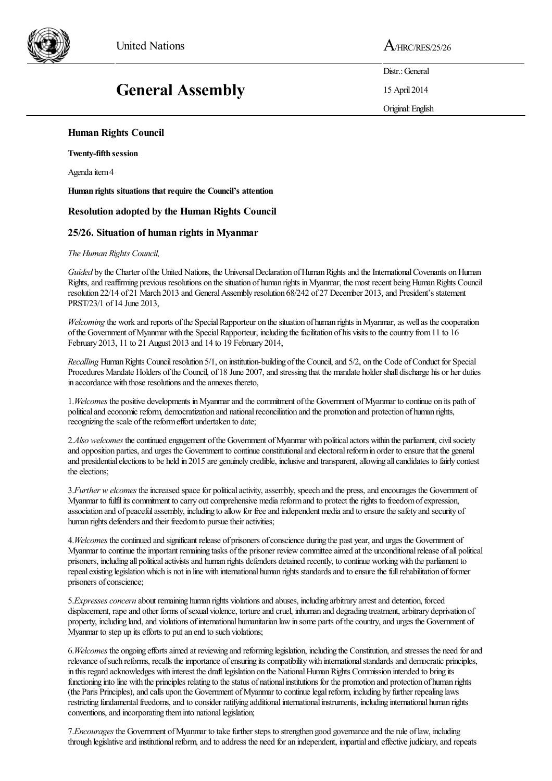

**General Assembly**

United Nations A<sub>/HRC/RES/25/26</sub>

Distr.: General 15 April 2014 Original:English

## **Human Rights Council**

**Twenty-fifth session**

Agenda item 4

**Human rights** situations that require the Council's attention

## **Resolution adopted by the Human Rights Council**

## **25/26. Situation of human rights in Myanmar**

## *The Human Rights Council,*

*Guided* by the Charter of the United Nations, the Universal Declaration of Human Rights and the International Covenants on Human Rights, and reaffirming previous resolutions on the situation of human rights in Myanmar, the most recent being Human Rights Council resolution 22/14 of 21 March 2013 and General Assembly resolution 68/242 of 27 December 2013, and President's statement PRST/23/1 of 14 June 2013,

*Welcoming* the work and reports of the Special Rapporteur on the situation of human rights in Myanmar, as well as the cooperation of the Government of Myanmar with the Special Rapporteur, including the facilitation of his visits to the country from 11 to 16 February 2013, 11 to 21 August 2013 and 14 to 19 February 2014,

*Recalling* Human Rights Council resolution 5/1, on institution-building of the Council, and 5/2, on the Code of Conduct for Special Procedures Mandate Holders of the Council, of 18 June 2007, and stressing that the mandate holder shall discharge his or her duties in accordance with those resolutions and the annexes thereto,

1.*Welcomes* the positive developments inMyanmarand thecommitment ofthe Government ofMyanmar to continue on its path of political and economic reform, democratization and national reconciliation and the promotion and protection of human rights, recognizing the scale of the reform effort undertaken to date;

2.Also welcomes the continued engagement of the Government of Myanmar with political actors within the parliament, civil society and opposition parties, and urges the Government to continue constitutional and electoral reform in order to ensure that the general and presidential elections to be held in 2015 are genuinely credible, inclusive and transparent, allowing all candidates to fairly contest the elections;

3.*Further w* elcomes the increased space for political activity, assembly, speech and the press, and encourages the Government of Myanmar to fulfil its commitment to carry out comprehensive media reform and to protect the rights to freedom of expression, association and of peaceful assembly, including to allow for free and independent media and to ensure the safety and security of human rights defenders and their freedom to pursue their activities;

4. Welcomes the continued and significant release of prisoners of conscience during the past year, and urges the Government of Myanmar to continue the important remaining tasks of the prisoner review committee aimed at the unconditional release of all political prisoners, including all politicalactivistsand human rights defenders detained recently, to continue workingwith the parliament to repeal existing legislation which is not in line with international human rights standards and to ensure the full rehabilitation of former prisoners of conscience;

5.*Expressesconcern* about remaining human rights violationsand abuses, including arbitrary arrestand detention, forced displacement, rape and other forms of sexual violence, torture and cruel, inhuman and degrading treatment, arbitrary deprivation of property, including land, and violations of international humanitarian law in some parts of the country, and urges the Government of Myanmar to step up its efforts to put an end to such violations;

6.*Welcomes* the ongoing effortsaimed at reviewing and reforming legislation, including the Constitution,and stresses the need forand relevance of such reforms, recalls the importance of ensuring its compatibility with international standards and democratic principles, in this regard acknowledges with interest the draft legislation on the National Human Rights Commission intended to bring its functioning into line with the principles relating to the status of national institutions for the promotion and protection of human rights (the Paris Principles), and calls upon the Government of Myanmar to continue legal reform, including by further repealing laws restricting fundamental freedoms, and to consider ratifying additional international instruments, including international human rights conventions, and incorporating them into national legislation;

7.*Encourages* the Government of Myanmar to take further steps to strengthen good governance and the rule of law, including through legislative and institutional reform, and to address the need for an independent, impartial and effective judiciary, and repeats